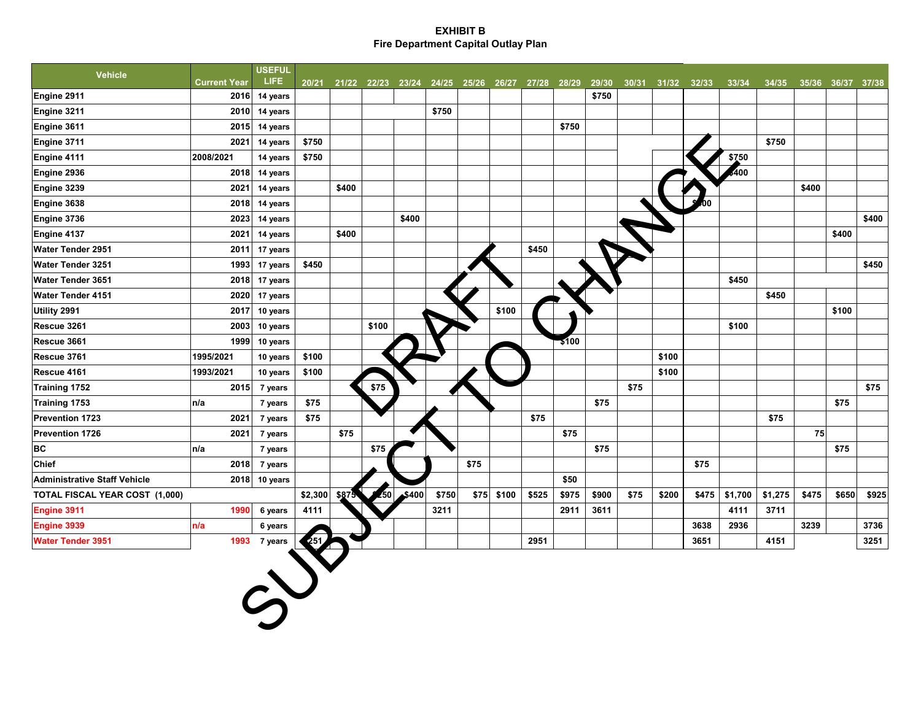## **EXHIBIT B Fire Department Capital Outlay Plan**

| <b>Vehicle</b>                      |                     | <b>USEFUL</b> |         |       |       |                                                 |       |      |       |       |                  |       |       |       |             |         |         |       |                   |       |
|-------------------------------------|---------------------|---------------|---------|-------|-------|-------------------------------------------------|-------|------|-------|-------|------------------|-------|-------|-------|-------------|---------|---------|-------|-------------------|-------|
|                                     | <b>Current Year</b> | LIFE.         | 20/21   |       |       | 21/22 22/23 23/24 24/25 25/26 26/27 27/28 28/29 |       |      |       |       |                  | 29/30 | 30/31 |       | 31/32 32/33 | 33/34   | 34/35   |       | 35/36 36/37 37/38 |       |
| Engine 2911                         | 2016                | 14 years      |         |       |       |                                                 |       |      |       |       |                  | \$750 |       |       |             |         |         |       |                   |       |
| Engine 3211                         | 2010                | 14 years      |         |       |       |                                                 | \$750 |      |       |       |                  |       |       |       |             |         |         |       |                   |       |
| Engine 3611                         | 2015                | 14 years      |         |       |       |                                                 |       |      |       |       | \$750            |       |       |       |             |         |         |       |                   |       |
| Engine 3711                         | 2021                | 14 years      | \$750   |       |       |                                                 |       |      |       |       |                  |       |       |       |             |         | \$750   |       |                   |       |
| Engine 4111                         | 2008/2021           | 14 years      | \$750   |       |       |                                                 |       |      |       |       |                  |       |       |       |             | \$750   |         |       |                   |       |
| Engine 2936                         |                     | 2018 14 years |         |       |       |                                                 |       |      |       |       |                  |       |       |       |             | 400     |         |       |                   |       |
| Engine 3239                         | 2021                | 14 years      |         | \$400 |       |                                                 |       |      |       |       |                  |       |       |       |             |         |         | \$400 |                   |       |
| Engine 3638                         | 2018                | 14 years      |         |       |       |                                                 |       |      |       |       |                  |       |       |       |             |         |         |       |                   |       |
| Engine 3736                         | 2023                | 14 years      |         |       |       | \$400                                           |       |      |       |       |                  |       |       |       |             |         |         |       |                   | \$400 |
| Engine 4137                         | 2021                | 14 years      |         | \$400 |       |                                                 |       |      |       |       |                  |       |       |       |             |         |         |       | \$400             |       |
| Water Tender 2951                   | 2011                | 17 years      |         |       |       |                                                 |       |      |       | \$450 |                  |       |       |       |             |         |         |       |                   |       |
| Water Tender 3251                   | 1993                | 17 years      | \$450   |       |       |                                                 |       |      |       |       |                  |       |       |       |             |         |         |       |                   | \$450 |
| Water Tender 3651                   | 2018                | 17 years      |         |       |       |                                                 |       |      |       |       |                  |       |       |       |             | \$450   |         |       |                   |       |
| <b>Water Tender 4151</b>            | 2020                | 17 years      |         |       |       |                                                 |       |      |       |       |                  |       |       |       |             |         | \$450   |       |                   |       |
| Utility 2991                        | 2017                | 10 years      |         |       |       |                                                 |       |      | \$100 |       |                  |       |       |       |             |         |         |       | \$100             |       |
| Rescue 3261                         | 2003                | 10 years      |         |       | \$100 |                                                 |       |      |       |       |                  |       |       |       |             | \$100   |         |       |                   |       |
| Rescue 3661                         | 1999                | 10 years      |         |       |       |                                                 |       |      |       |       | $\frac{1}{3100}$ |       |       |       |             |         |         |       |                   |       |
| Rescue 3761                         | 1995/2021           | 10 years      | \$100   |       |       |                                                 |       |      |       |       |                  |       |       | \$100 |             |         |         |       |                   |       |
| Rescue 4161                         | 1993/2021           | 10 years      | \$100   |       |       |                                                 |       |      |       |       |                  |       |       | \$100 |             |         |         |       |                   |       |
| Training 1752                       | 2015                | 7 years       |         |       | \$75  |                                                 |       |      |       |       |                  |       | \$75  |       |             |         |         |       |                   | \$75  |
| Training 1753                       | n/a                 | 7 years       | \$75    |       |       |                                                 |       |      |       |       |                  | \$75  |       |       |             |         |         |       | \$75              |       |
| <b>Prevention 1723</b>              | 2021                | 7 years       | \$75    |       |       |                                                 |       |      |       | \$75  |                  |       |       |       |             |         | \$75    |       |                   |       |
| <b>Prevention 1726</b>              | 2021                | 7 years       |         | \$75  |       |                                                 |       |      |       |       | \$75             |       |       |       |             |         |         | 75    |                   |       |
| <b>BC</b>                           | n/a                 | 7 years       |         |       | \$75  |                                                 |       |      |       |       |                  | \$75  |       |       |             |         |         |       | \$75              |       |
| <b>Chief</b>                        | 2018                | 7 years       |         |       |       |                                                 |       | \$75 |       |       |                  |       |       |       | \$75        |         |         |       |                   |       |
| <b>Administrative Staff Vehicle</b> |                     | 2018 10 years |         |       |       |                                                 |       |      |       |       | \$50             |       |       |       |             |         |         |       |                   |       |
| TOTAL FISCAL YEAR COST (1,000)      |                     |               | \$2,300 | \$875 | 50    | 5400                                            | \$750 | \$75 | \$100 | \$525 | \$975            | \$900 | \$75  | \$200 | \$475       | \$1,700 | \$1,275 | \$475 | \$650             | \$925 |
| Engine 3911                         | 1990                | 6 years       | 4111    |       |       |                                                 | 3211  |      |       |       | 2911             | 3611  |       |       |             | 4111    | 3711    |       |                   |       |
| Engine 3939                         | n/a                 | 6 years       |         |       |       |                                                 |       |      |       |       |                  |       |       |       | 3638        | 2936    |         | 3239  |                   | 3736  |
| <b>Water Tender 3951</b>            | 1993                | 7 years       |         |       |       |                                                 |       |      |       | 2951  |                  |       |       |       | 3651        |         | 4151    |       |                   | 3251  |
|                                     |                     |               |         |       |       |                                                 |       |      |       |       |                  |       |       |       |             |         |         |       |                   |       |